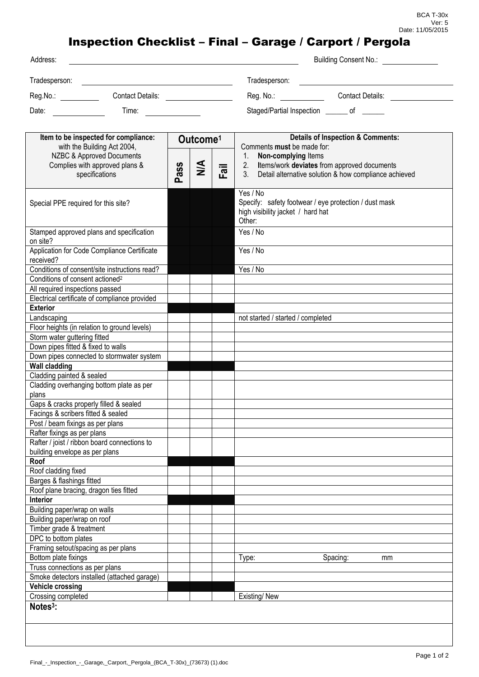## Inspection Checklist – Final – Garage / Carport / Pergola

| Address:      |                  | Building Consent No.: \\contact \\contact \\contact \\contact \\contact \\contact \\contact \\contact \\contact \\contact \\contact \\contact \\contact \\contact \\contact \\contact \\contact \\contact \\contact \\contact |  |
|---------------|------------------|-------------------------------------------------------------------------------------------------------------------------------------------------------------------------------------------------------------------------------|--|
| Tradesperson: |                  | Tradesperson:                                                                                                                                                                                                                 |  |
| Reg.No.:      | Contact Details: | Contact Details:<br>Reg. No.:                                                                                                                                                                                                 |  |
| Date:         | Time:            | Staged/Partial Inspection _______ of ______                                                                                                                                                                                   |  |

| Item to be inspected for compliance:<br>with the Building Act 2004,<br>NZBC & Approved Documents |      | Outcome <sup>1</sup> |      | <b>Details of Inspection &amp; Comments:</b><br>Comments must be made for: |  |
|--------------------------------------------------------------------------------------------------|------|----------------------|------|----------------------------------------------------------------------------|--|
|                                                                                                  |      |                      |      | Non-complying Items<br>1.                                                  |  |
| Complies with approved plans &                                                                   |      |                      |      | Items/work deviates from approved documents<br>2.                          |  |
| specifications                                                                                   | Pass | $\leq$               | Fail | Detail alternative solution & how compliance achieved<br>3.                |  |
|                                                                                                  |      |                      |      |                                                                            |  |
|                                                                                                  |      |                      |      | Yes / No                                                                   |  |
| Special PPE required for this site?                                                              |      |                      |      | Specify: safety footwear / eye protection / dust mask                      |  |
|                                                                                                  |      |                      |      | high visibility jacket / hard hat                                          |  |
|                                                                                                  |      |                      |      | Other:                                                                     |  |
| Stamped approved plans and specification<br>on site?                                             |      |                      |      | Yes / No                                                                   |  |
| Application for Code Compliance Certificate                                                      |      |                      |      | Yes / No                                                                   |  |
| received?                                                                                        |      |                      |      |                                                                            |  |
| Conditions of consent/site instructions read?                                                    |      |                      |      | Yes / No                                                                   |  |
| Conditions of consent actioned <sup>2</sup>                                                      |      |                      |      |                                                                            |  |
| All required inspections passed                                                                  |      |                      |      |                                                                            |  |
| Electrical certificate of compliance provided                                                    |      |                      |      |                                                                            |  |
| <b>Exterior</b>                                                                                  |      |                      |      |                                                                            |  |
| Landscaping                                                                                      |      |                      |      | not started / started / completed                                          |  |
| Floor heights (in relation to ground levels)                                                     |      |                      |      |                                                                            |  |
| Storm water guttering fitted                                                                     |      |                      |      |                                                                            |  |
| Down pipes fitted & fixed to walls                                                               |      |                      |      |                                                                            |  |
| Down pipes connected to stormwater system                                                        |      |                      |      |                                                                            |  |
| <b>Wall cladding</b>                                                                             |      |                      |      |                                                                            |  |
| Cladding painted & sealed                                                                        |      |                      |      |                                                                            |  |
| Cladding overhanging bottom plate as per                                                         |      |                      |      |                                                                            |  |
| plans                                                                                            |      |                      |      |                                                                            |  |
| Gaps & cracks properly filled & sealed                                                           |      |                      |      |                                                                            |  |
| Facings & scribers fitted & sealed                                                               |      |                      |      |                                                                            |  |
| Post / beam fixings as per plans                                                                 |      |                      |      |                                                                            |  |
| Rafter fixings as per plans                                                                      |      |                      |      |                                                                            |  |
| Rafter / joist / ribbon board connections to                                                     |      |                      |      |                                                                            |  |
| building envelope as per plans                                                                   |      |                      |      |                                                                            |  |
| Roof                                                                                             |      |                      |      |                                                                            |  |
| Roof cladding fixed                                                                              |      |                      |      |                                                                            |  |
| Barges & flashings fitted                                                                        |      |                      |      |                                                                            |  |
| Roof plane bracing, dragon ties fitted                                                           |      |                      |      |                                                                            |  |
| Interior                                                                                         |      |                      |      |                                                                            |  |
| Building paper/wrap on walls                                                                     |      |                      |      |                                                                            |  |
| Building paper/wrap on roof                                                                      |      |                      |      |                                                                            |  |
| Timber grade & treatment                                                                         |      |                      |      |                                                                            |  |
| DPC to bottom plates                                                                             |      |                      |      |                                                                            |  |
| Framing setout/spacing as per plans                                                              |      |                      |      |                                                                            |  |
| Bottom plate fixings                                                                             |      |                      |      | Type:<br>Spacing:<br>mm                                                    |  |
| Truss connections as per plans<br>Smoke detectors installed (attached garage)                    |      |                      |      |                                                                            |  |
|                                                                                                  |      |                      |      |                                                                            |  |
| <b>Vehicle crossing</b>                                                                          |      |                      |      |                                                                            |  |
| Crossing completed                                                                               |      |                      |      | Existing/New                                                               |  |
| Notes <sup>3</sup> :                                                                             |      |                      |      |                                                                            |  |
|                                                                                                  |      |                      |      |                                                                            |  |
|                                                                                                  |      |                      |      |                                                                            |  |
|                                                                                                  |      |                      |      |                                                                            |  |